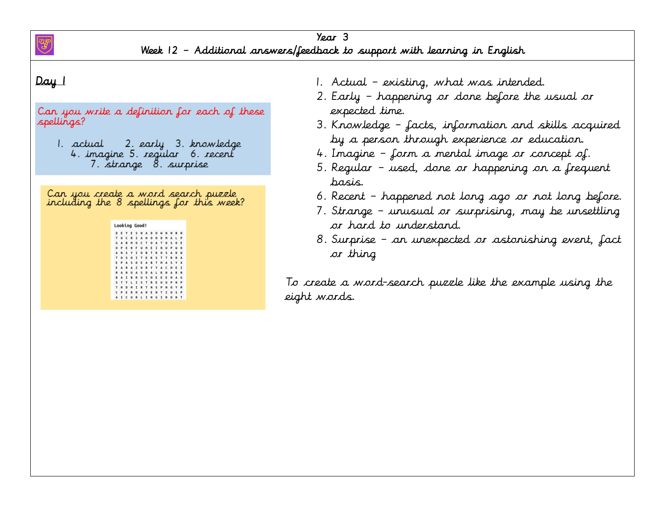

Can you write a definition for each of these spellings?

2. early 3. knowledge 1. actual 4. imagine 5. regular 6. recent 7. strange 8. surprise

Can you create a mord search puzzle including the 8 spellings for this week?

| D | к       | ٧  | к | s | н       | ٨  | n | ٥ |   | N | M            |   | н |
|---|---------|----|---|---|---------|----|---|---|---|---|--------------|---|---|
| т | u       | е  | R | I | A       | н  | ٥ | н | D | н | A            | ı | Þ |
| G | A       | в  | M | ٥ | c       | т  | ٥ | A | т | ٥ | s            | Ō | E |
| ۰ | P       |    | ٠ |   | u       | M  | E | I | R | U | Þ            | м | o |
| ٨ | N       | s  | γ | I | ٥       | B  | т | R | ٥ | s | A            | ۵ | и |
| т | $\circ$ | s  | ٥ | I | т       | E  | ĸ | s | т | т | R            | ٠ | А |
| E | P       | ٨  | s | D | E       | А  | B | т | M | ۸ | s            | ٧ | x |
| E | А       | R  | А | z | $\circ$ | 変  | ٧ | ٧ | A | c | н            | E | I |
| R | ٨       | N  | u | ٨ | s       | ۰  | A | L | к | н | ٨            | ۰ | N |
| ٠ | A       | ı  | n | ٠ | U       | s  | н | п | ĸ | ٠ | $\mathbb{M}$ | ٠ | G |
| s | Y       | ٧  | ι | л | s       | т  | R | E | u | u | Þ            | N | ø |
| т | н       | D  | M | I | R       | т  | N | s | ₽ | N | ٥            | ٧ | M |
| c | P       |    | ٠ | м | A       | N  | E | N | т | I | ٥            | s | P |
| A |         | ΙС | U | R |         | LI | N | G | I | 良 | $\circ$      | N | т |

- 1. Actual existing, what was intended.
- 2. Early happening or done before the usual or expected time.
- 3. Knowledge facts, information and skills acquired by a person through experience or education.
- 4. Imagine form a mental image or concept of.
- 5. Regular used, done or happening on a frequent basis.
- 6. Recent happened not long ago or not long before.
- 7. Strange unusual or surprising, may be unsettling or hard to understand.
- 8. Surprise an unexpected or astonishing event, fact or thing

To create a word-search puzzle like the example using the eight words.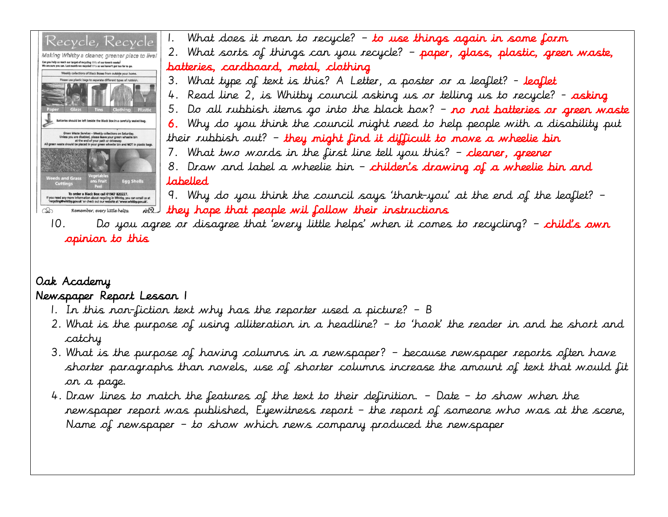

# Oak Academy

### Newspaper Report Lesson 1

- 1. In this non-fiction text why has the reporter used a picture? B
- 2. What is the purpose of using alliteration in a headline? to 'hook' the reader in and be short and catchy
- 3. What is the purpose of having columns in a newspaper? because newspaper reports often have shorter paragraphs than novels, use of shorter columns increase the amount of text that would fit on a page.
- 4. Draw lines to match the features of the text to their definition. Date to show when the newspaper report was published, Eyewitness report – the report of someone who was at the scene, Name of newspaper – to show which news company produced the newspaper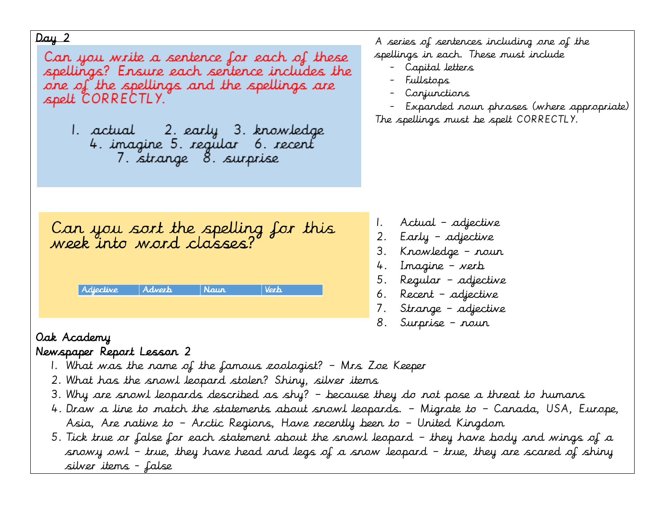Can you write a sentence for each of these spellings? Ensure each sentence includes the one of the spellings and the spellings are spelt CORRECTLY.

1. actual - 2. early - 3. knowledge<br>- 4. imagine 5. regular - 6. recent 7. strange 8. surprise

A series of sentences including one of the spellings in each. These must include

- Capital letters
- Fullstops
- Conjunctions
- Expanded noun phrases (where appropriate) The spellings must be spelt CORRECTLY.

Can you sort the spelling for this<br>week into word classes?

| Adjective | Adverb | Naur' | Verh. |
|-----------|--------|-------|-------|
|           |        |       |       |

- 1. Actual adjective
- 2. Early adjective
- 3. Knowledge noun
- 4. Imagine verb
- 5. Regular adjective
- 6. Recent adjective
- 7. Strange adjective
- 8. Surprise noun

# Oak Academy

## Newspaper Report Lesson 2

- 1. What was the name of the famous zoologist? Mrs Zoe Keeper
- 2. What has the snowl leopard stolen? Shiny, silver items
- 3. Why are snowl leopards described as shy? because they do not pose a threat to humans
- 4. Draw a line to match the statements about snowl leopards. Migrate to Canada, USA, Europe, Asia, Are native to – Arctic Regions, Have recently been to – United Kingdom
- 5. Tick true or false for each statement about the snowl leopard they have body and wings of a snowy owl – true, they have head and legs of a snow leopard – true, they are scared of shiny silver items - false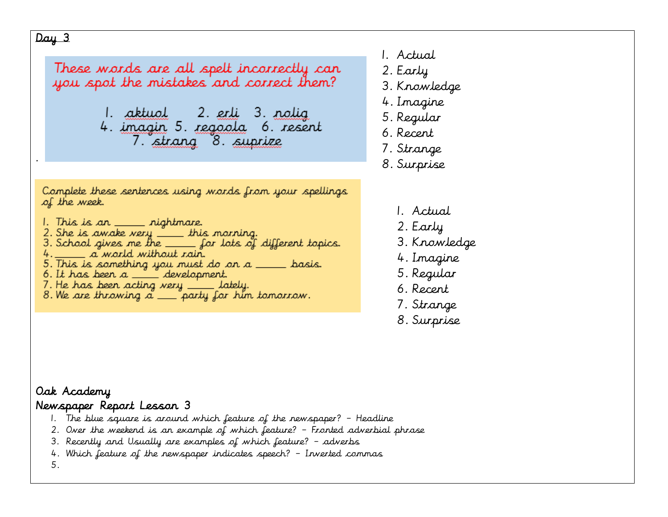.

These words are all spelt incorrectly can you spot the mistakes and correct them?

> 1. <u>aktuol</u> – 2. <u>erli</u> 3. <u>nolig</u> 4. imagin 5. regoola 6. resent 7. strang 8. suprize

Complete these sentences using words from your spellings of the week.

- 1. This is an <u>\_\_\_\_\_</u> nightmare.
- 2. She is awake very \_\_\_ this morning.
- 3. School gives me the  $\rule{1em}{0.15mm}$  for lots of different topics.
- 4. \_\_\_\_\_\_ a world without rain.
- 5. This is something you must do on a \_\_\_ basis.
- 6. It has been  $a \_\_\_\_\$  development.
- 7. He has been acting very \_\_\_\_\_\_ lately.
- 8. We are throwing  $\alpha$  \_\_\_ party for him tomorrow.
- 1. Actual
- 2. Early
- 3. Knowledge
- 4. Imagine
- 5. Regular
- 6. Recent
- 7. Strange
- 8. Surprise
	- 1. Actual
	- 2. Early
	- 3. Knowledge
	- 4. Imagine
	- 5. Regular
	- 6. Recent
	- 7. Strange
	- 8. Surprise

#### Oak Academy Newspaper Report Lesson 3

- 1. The blue square is around which feature of the newspaper? Headline
- 2. Over the weekend is an example of which feature? Fronted adverbial phrase
- 3. Recently and Usually are examples of which feature? adverbs
- 4. Which feature of the newspaper indicates speech? Inverted commas

5.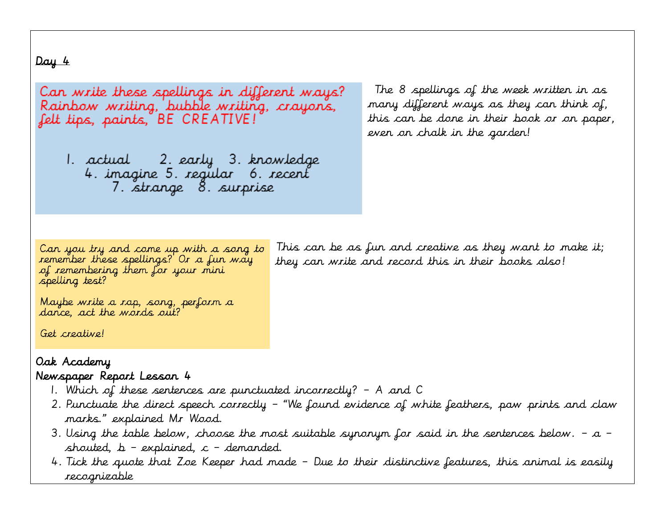Can write these spellings in different ways? Rainbow writing, bubble writing, crayons, felt tips, paints, BE CREATIVE!

1. actual - 2. early - 3. knowledge 4. imagine 5. regular 6. recent 7. strange 8. surprise

The 8 spellings of the week written in as many different ways as they can think of, this can be done in their book or on paper, even on chalk in the garden!

Can you try and come up with a song to remember these spellings? Or a fun way of remembering them for your mini spelling test?

This can be as fun and creative as they want to make it; they can write and record this in their books also!

Maybe write a rap, song, perform a dance, act the words out?

Get creative!

#### Oak Academy Newspaper Report Lesson 4

- 1. Which of these sentences are punctuated incorrectly? A and C
- 2. Punctuate the direct speech correctly "We found evidence of white feathers, paw prints and claw marks." explained Mr Wood.
- 3. Using the table below, choose the most suitable synonym for said in the sentences below.  $a$  shouted,  $b$  – explained,  $c$  – demanded.
- 4. Tick the quote that Zoe Keeper had made Due to their distinctive features, this animal is easily recognizable